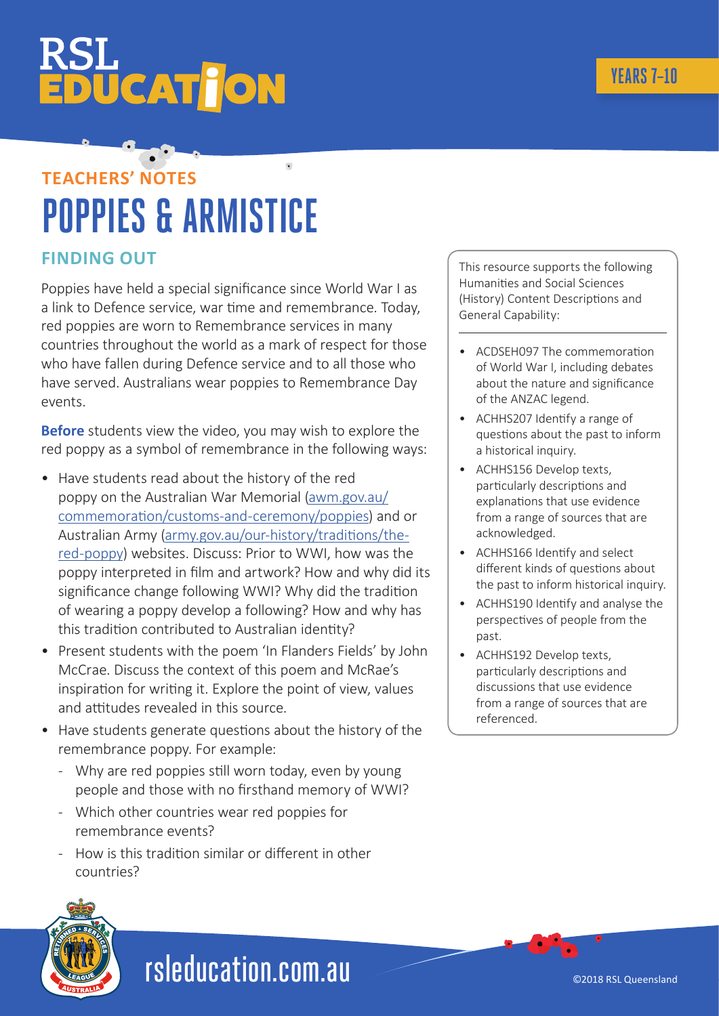## **ÜCATTON**

### $\overline{\bullet}$ **TEACHERS' NOTES POPPIES & ARMISTICE**

#### **FINDING OUT**

Poppies have held a special significance since World War I as a link to Defence service, war time and remembrance. Today, red poppies are worn to Remembrance services in many countries throughout the world as a mark of respect for those who have fallen during Defence service and to all those who have served. Australians wear poppies to Remembrance Day events.

**Before** students view the video, you may wish to explore the red poppy as a symbol of remembrance in the following ways:

- Have students read about the history of the red poppy on the Australian War Memorial [\(awm.gov.au/](http://awm.gov.au/commemoration/customs-and-ceremony/poppies) [commemoration/customs-and-ceremony/poppies](http://awm.gov.au/commemoration/customs-and-ceremony/poppies)) and or Australian Army [\(army.gov.au/our-history/traditions/the](http://army.gov.au/our-history/traditions/the-red-poppy)[red-poppy\)](http://army.gov.au/our-history/traditions/the-red-poppy) websites. Discuss: Prior to WWI, how was the poppy interpreted in film and artwork? How and why did its significance change following WWI? Why did the tradition of wearing a poppy develop a following? How and why has this tradition contributed to Australian identity?
- Present students with the poem 'In Flanders Fields' by John McCrae. Discuss the context of this poem and McRae's inspiration for writing it. Explore the point of view, values and attitudes revealed in this source.
- Have students generate questions about the history of the remembrance poppy. For example:
	- Why are red poppies still worn today, even by young people and those with no firsthand memory of WWI?
	- Which other countries wear red poppies for remembrance events?
	- How is this tradition similar or different in other countries?

This resource supports the following Humanities and Social Sciences (History) Content Descriptions and General Capability:

- ACDSEH097 The commemoration of World War I, including debates about the nature and significance of the ANZAC legend.
- ACHHS207 Identify a range of questions about the past to inform a historical inquiry.
- ACHHS156 Develop texts, particularly descriptions and explanations that use evidence from a range of sources that are acknowledged.
- ACHHS166 Identify and select different kinds of questions about the past to inform historical inquiry.
- ACHHS190 Identify and analyse the perspectives of people from the past.
- ACHHS192 Develop texts, particularly descriptions and discussions that use evidence from a range of sources that are referenced.



### rsleducation.com.au

©2018 RSL Queensland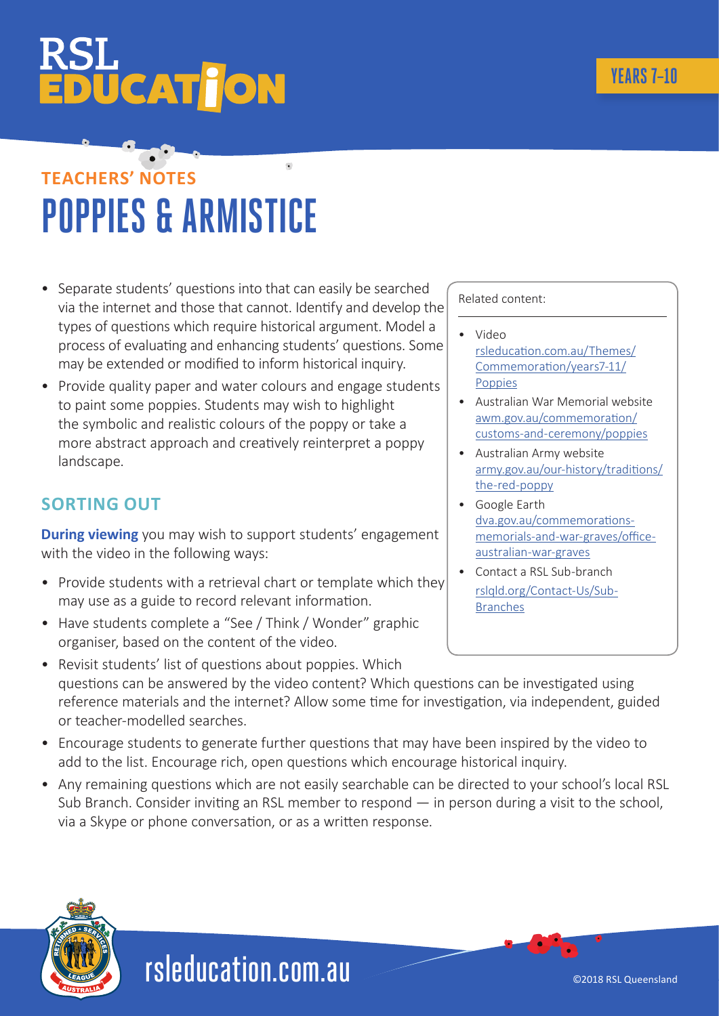# **ÜCAT JON**

## **TEACHERS' NOTES POPPIES & ARMISTICE**

- Separate students' questions into that can easily be searched via the internet and those that cannot. Identify and develop the types of questions which require historical argument. Model a process of evaluating and enhancing students' questions. Some may be extended or modified to inform historical inquiry.
- Provide quality paper and water colours and engage students to paint some poppies. Students may wish to highlight the symbolic and realistic colours of the poppy or take a more abstract approach and creatively reinterpret a poppy landscape.

#### **SORTING OUT**

**During viewing** you may wish to support students' engagement with the video in the following ways:

- Provide students with a retrieval chart or template which they may use as a guide to record relevant information.
- Have students complete a "See / Think / Wonder" graphic organiser, based on the content of the video.

• Revisit students' list of questions about poppies. Which questions can be answered by the video content? Which questions can be investigated using reference materials and the internet? Allow some time for investigation, via independent, guided or teacher-modelled searches.

- Encourage students to generate further questions that may have been inspired by the video to add to the list. Encourage rich, open questions which encourage historical inquiry.
- Any remaining questions which are not easily searchable can be directed to your school's local RSL Sub Branch. Consider inviting an RSL member to respond — in person during a visit to the school, via a Skype or phone conversation, or as a written response.

Related content:

- Video [rsleducation.com.au/Themes/](http://www.rsleducation.com.au/Themes/Commemoration/years-Prep---2/Poppies) [Commemoration/years7-11/](http://www.rsleducation.com.au/Themes/Commemoration/years-Prep---2/Poppies) Poppies
- Australian War Memorial website [awm.gov.au/commemoration/](http://awm.gov.au/commemoration/customs-and-ceremony/poppies) [customs-and-ceremony/poppies](http://awm.gov.au/commemoration/customs-and-ceremony/poppies)
- Australian Army website [army.gov.au/our-history/traditions/](http://army.gov.au/our-history/traditions/the-red-poppy ) [the-red-poppy](http://army.gov.au/our-history/traditions/the-red-poppy )
- [Google Earth](http://army.gov.au/our-history/traditions/the-red-poppy ) [dva.gov.au/commemorations](http://army.gov.au/our-history/traditions/the-red-poppy )[memorials-and-war-graves/office](http://army.gov.au/our-history/traditions/the-red-poppy )[australian-war-graves](http://army.gov.au/our-history/traditions/the-red-poppy )
- [Contact a RSL Sub-branch](http://www.rslqld.org/Contact-Us/Sub-Branches
) [rslqld.org/Contact-Us/Sub-](http://www.rslqld.org/Contact-Us/Sub-Branches
)[Branches](http://www.rslqld.org/Contact-Us/Sub-Branches
)